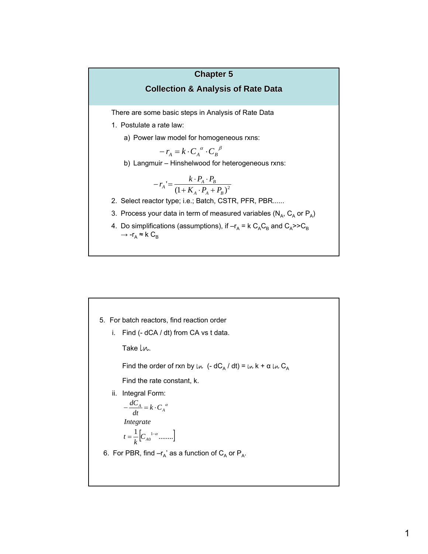# **Chapter 5**

## **Collection & Analysis of Rate Data**

There are some basic steps in Analysis of Rate Data

- 1. Postulate a rate law:
	- a) Power law model for homogeneous rxns:

$$
-r_A = k \cdot C_A^{a} \cdot C_B^{b}
$$

b) Langmuir – Hinshelwood for heterogeneous rxns:

$$
-r_A = \frac{k \cdot P_A \cdot P_B}{\left(1 + K_A \cdot P_A + P_B\right)^2}
$$

- 2. Select reactor type; i.e.; Batch, CSTR, PFR, PBR......
- 3. Process your data in term of measured variables ( $N_A$ ,  $C_A$  or  $P_A$ )
- 4. Do simplifications (assumptions), if  $-r_A = k C_A C_B$  and  $C_A$ >>C<sub>B</sub>  $\rightarrow$  -r<sub>A</sub>  $\approx$  k C<sub>B</sub>

5. For batch reactors, find reaction order i. Find (- dCA / dt) from CA vs t data. Take Ln. Find the order of rxn by ln (-  $dC_A / dt$ ) = ln k + α ln  $C_A$ Find the rate constant, k. ii. Integral Form:  $=\frac{1}{I}\left[C_{A0}^{1-\alpha}$ ..........  $-\frac{aC_A}{l} = k \cdot C_A^{\alpha}$ *k t Integrate dt dC* 6. For PBR, find  $-r_A'$  as a function of  $C_A$  or  $P_A$ .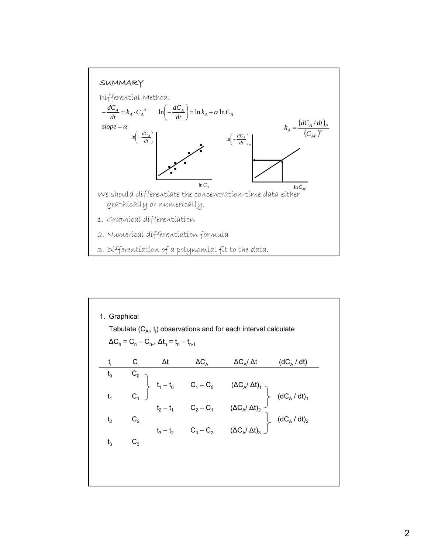

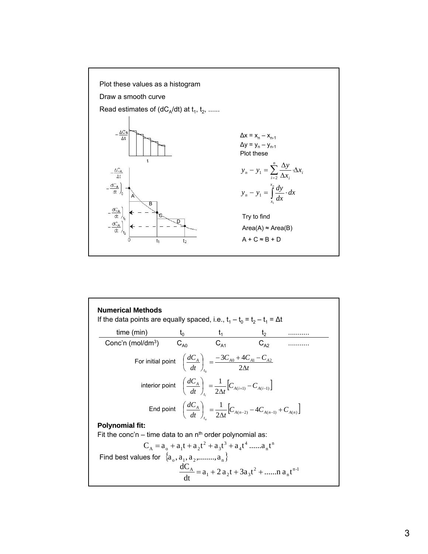

| time (min) $t_0$ $t_1$ $t_2$<br>Conc'n (mol/dm <sup>3</sup> ) $C_{A0}$ $C_{A1}$ $C_{A2}$         |                                                                                                          |                                                                                                                  |  |
|--------------------------------------------------------------------------------------------------|----------------------------------------------------------------------------------------------------------|------------------------------------------------------------------------------------------------------------------|--|
| For initial point $\left(\frac{dC_A}{dt}\right) = \frac{-3C_{A0} + 4C_{A1} - C_{A2}}{2\Delta t}$ |                                                                                                          |                                                                                                                  |  |
|                                                                                                  | interior point $\left(\frac{dC_A}{dt}\right) = \frac{1}{2\Delta t} \left[C_{A(i+1)} - C_{A(i-1)}\right]$ |                                                                                                                  |  |
|                                                                                                  |                                                                                                          | End point $\left(\frac{dC_A}{dt}\right) = \frac{1}{2\Lambda t} \left[C_{A(n-2)} - 4C_{A(n-1)} + C_{A(n)}\right]$ |  |
| <b>Polynomial fit:</b>                                                                           |                                                                                                          |                                                                                                                  |  |
| Fit the conc'n – time data to an $nth$ order polynomial as:                                      |                                                                                                          |                                                                                                                  |  |
|                                                                                                  |                                                                                                          |                                                                                                                  |  |
| Find best values for $\{a_0, a_1, a_2, \ldots, a_n\}$                                            |                                                                                                          |                                                                                                                  |  |
|                                                                                                  |                                                                                                          | $\frac{dC_{A}}{dt} = a_1 + 2 a_2 t + 3 a_3 t^2 + \dots + a_n t^{n-1}$                                            |  |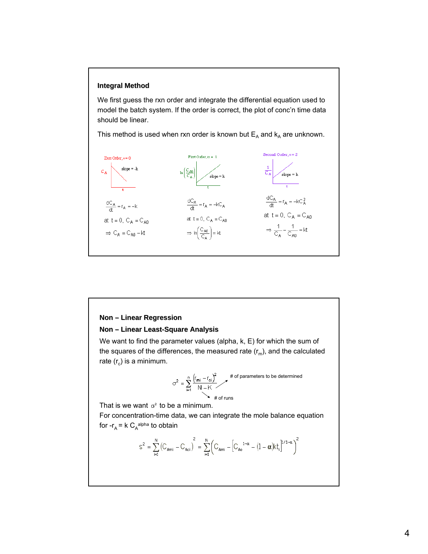#### **Integral Method**

We first guess the rxn order and integrate the differential equation used to model the batch system. If the order is correct, the plot of conc'n time data should be linear.

This method is used when rxn order is known but  $E_A$  and  $k_A$  are unknown.



### **Non – Linear Regression**

#### **Non – Linear Least Linear Least-Square Analysis**

We want to find the parameter values (alpha, k, E) for which the sum of the squares of the differences, the measured rate  $(r_m)$ , and the calculated rate  $(r_c)$  is a minimum.

$$
\sigma^2 = \sum_{i=1}^{n} \frac{(r_{mi} - r_{ci})^2}{N - K}
$$
  
# of parameters to be determined  
# of runs

That is we want  $\sigma^2$  to be a minimum.

For concentration-time data, we can integrate the mole balance equation for - $r_A$  = k C<sub>A</sub><sup>alpha</sup> to obtain

$$
s^{2} = \sum_{i=1}^{N} (C_{\text{Ami}} - C_{\text{Aci}})^{2} = \sum_{i=1}^{N} (C_{\text{Ami}} - [C_{\text{Ac}}^{1-\alpha} - (1-\alpha)kt_{i}]^{1/1-\alpha})^{2}
$$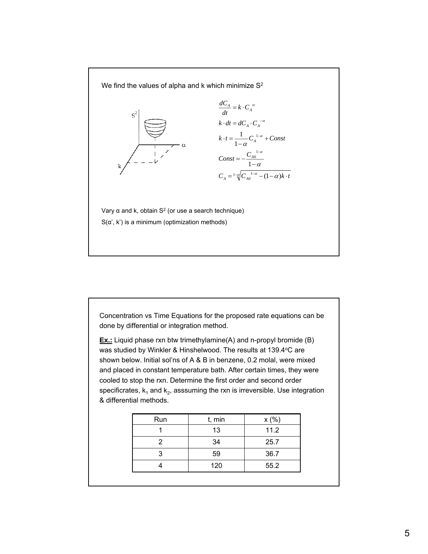We find the values of alpha and k which minimize S<sup>2</sup>



Vary  $α$  and  $k$ , obtain  $S<sup>2</sup>$  (or use a search technique)  $S(\alpha', k')$  is a minimum (optimization methods)

Concentration vs Time Equations for the proposed rate equations can be done by differential or integration method.

**Ex.:** Liquid phase rxn btw trimethylamine(A) and n-propyl bromide (B) was studied by Winkler & Hinshelwood. The results at 139.4°C are shown below. Initial sol'ns of A & B in benzene, 0.2 molal, were mixed and placed in constant temperature bath. After certain times, they were cooled to stop the rxn. Determine the first order and second order specificrates,  $k_1$  and  $k_2$ , asssuming the rxn is irreversible. Use integration & differential methods.

| Run | t, min | x(%) |
|-----|--------|------|
|     | 13     | 11.2 |
|     | 34     | 25.7 |
| З   | 59     | 36.7 |
|     | 120    | 55.2 |
|     |        |      |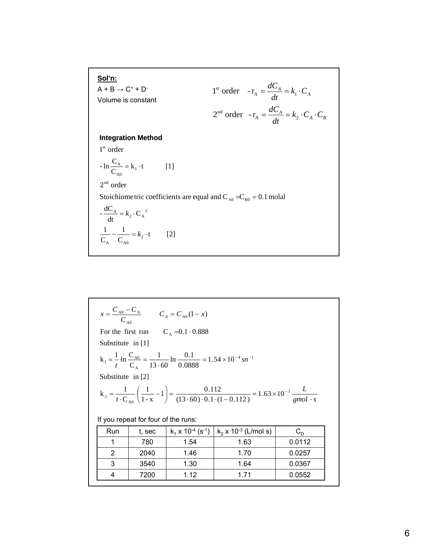**Sol'n:**  
\n
$$
A + B \rightarrow C^+ + D^-
$$
  
\nVolume is constant  
\n $2^{\text{nd}} \text{ order } -r_A = \frac{dC_A}{dt} = k_1 \cdot C_A$   
\n**Integration Method**  
\n $1^{\text{st}} \text{ order}$   
\n $- \ln \frac{C_A}{C_{A0}} = k_1 \cdot t$  [1]  
\n $2^{\text{nd}} \text{ order}$   
\nStoichiometric coefficients are equal and  $C_{A0} = C_{B0} = 0.1 \text{ mola}$   
\n $-\frac{dC_A}{dt} = k_2 \cdot C_A^2$   
\n $\frac{1}{C_A} - \frac{1}{C_{A0}} = k_2 \cdot t$  [2]

$$
x = \frac{C_{A0} - C_A}{C_{A0}} \qquad C_A = C_{A0}(1 - x)
$$
  
For the first run  
Substitute in [1]  

$$
k_1 = \frac{1}{t} \cdot \ln \frac{C_{A0}}{C_A} = \frac{1}{13 \cdot 60} \ln \frac{0.1}{0.0888} = 1.54 \times 10^{-4} \text{sn}^{-1}
$$
  
Substitute in [2]  

$$
k_2 = \frac{1}{t \cdot C_{A0}} \left(\frac{1}{1 - x} - 1\right) = \frac{0.112}{(13 \cdot 60) \cdot 0.1 \cdot (1 - 0.112)} = 1.63 \times 10^{-3} \frac{L}{\text{gmol} \cdot s}
$$
  
If you repeat for four of the runs:  
Run t, sec k<sub>1</sub> x 10<sup>-4</sup> (s<sup>-1</sup>) k<sub>2</sub> x 10<sup>-3</sup> (L/mol s) C<sub>D</sub>  
1 780 1.54 1.63 0.0112

| nuu | 1, 5 <del>c</del> u | $N_1 \wedge 10 \wedge 3$ | $N2$ X TO $\sim$ (L/IIIOI 5) | ີ      |
|-----|---------------------|--------------------------|------------------------------|--------|
|     | 780                 | 1.54                     | 1.63                         | 0.0112 |
| ⌒   | 2040                | 1.46                     | 1.70                         | 0.0257 |
| 3   | 3540                | 1.30                     | 1.64                         | 0.0367 |
|     | 7200                | 1.12                     | 1.71                         | 0.0552 |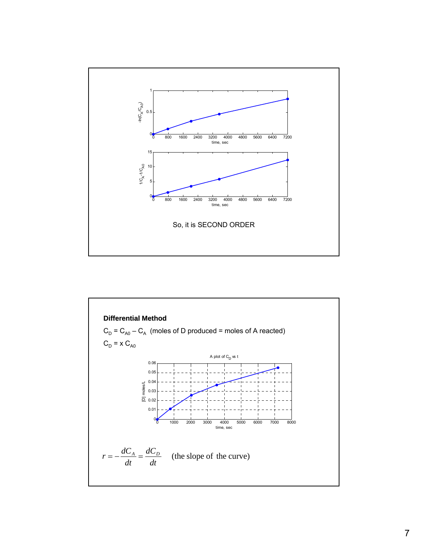

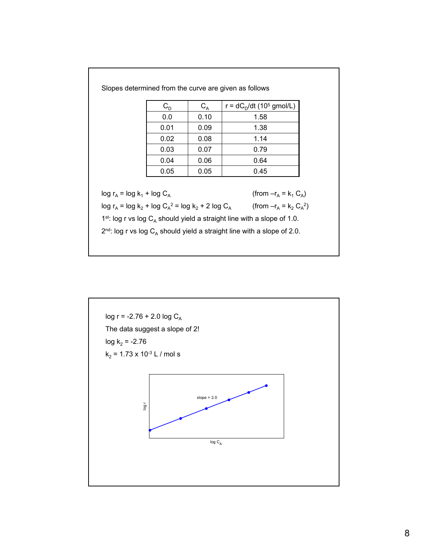| $C_{\scriptscriptstyle\rm D}$ | $C_A$ | r = $dC_D/dt$ (10 <sup>5</sup> gmol/L) |
|-------------------------------|-------|----------------------------------------|
| 0.0                           | 0.10  | 1.58                                   |
| 0.01                          | 0.09  | 1.38                                   |
| 0.02                          | 0.08  | 1.14                                   |
| 0.03                          | 0.07  | 0.79                                   |
| 0.04                          | 0.06  | 0.64                                   |
| 0.05                          | 0.05  | 0.45                                   |

Slopes determined from the curve are given as follows

 $log r_A = log k_1 + log C_A$  (from  $-r_A = k_1 C_A$ )

 $\log r_A = \log k_2 + \log C_A^2 = \log k_2 + 2 \log C_A$  (from  $-r_A = k_2 C_A^2$ )

1st: log r vs log  $C_A$  should yield a straight line with a slope of 1.0.

 $2^{nd}$ : log r vs log C<sub>A</sub> should yield a straight line with a slope of 2.0.

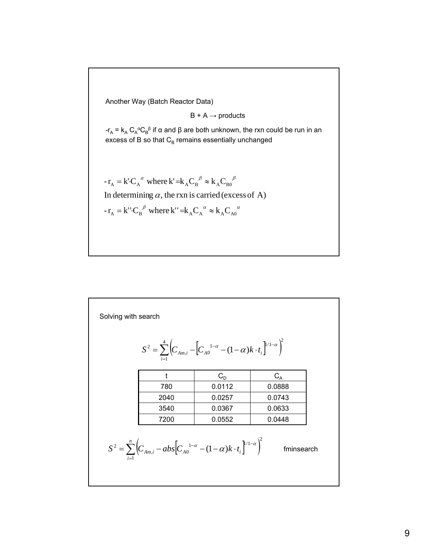Another Way (Batch Reactor Data)

 $B + A \rightarrow$  products

-r<sub>A</sub> = k<sub>A</sub> C<sub>A</sub><sup>α</sup>C<sub>B</sub><sup>β</sup> if α and β are both unknown, the rxn could be run in an excess of B so that  $C_B$  remains essentially unchanged

 $-r_A = k'C_A^{\alpha}$  where  $k' = k_A C_B^{\beta} \approx k_A C_{B0}$  $=$  k' $C_A^{\alpha}$  where k'  $=$ k $_{A}C_B^{\beta} \approx$  k $_{A}C_{B0}^{\beta}$ 

In determining  $\alpha$ , the rxn is carried (excess of A)

 $-r_A = k''C_B^{\beta}$  where  $k'' = k_A C_A^{\alpha} \approx k_A C_{A0}$  $=$  k'' $C_R^{\ \beta}$  where k''  $=$ k<sub>A</sub> $C_A^{\ \alpha} \approx$  k<sub>A</sub> $C_{A0}^{\ \alpha}$ 

|      | $S^{2} = \sum_{i=1}^{4} \left( C_{Am,i} - \left[ C_{A0}^{1-\alpha} - (1-\alpha)k \cdot t_{i} \right]^{1/1-\alpha} \right)^{2}$  |                |
|------|---------------------------------------------------------------------------------------------------------------------------------|----------------|
| t    | $C_{D}$                                                                                                                         | $C_{\text{A}}$ |
| 780  | 0.0112                                                                                                                          | 0.0888         |
| 2040 | 0.0257                                                                                                                          | 0.0743         |
| 3540 | 0.0367                                                                                                                          | 0.0633         |
| 7200 | 0.0552                                                                                                                          | 0.0448         |
|      | $S^{2} = \sum_{i=1}^{n} \left( C_{Am,i} - abs \Big[ C_{A0}^{1-\alpha} - (1-\alpha)k \cdot t_{i} \Big]^{1/1-\alpha} \right)^{2}$ | fminsearch     |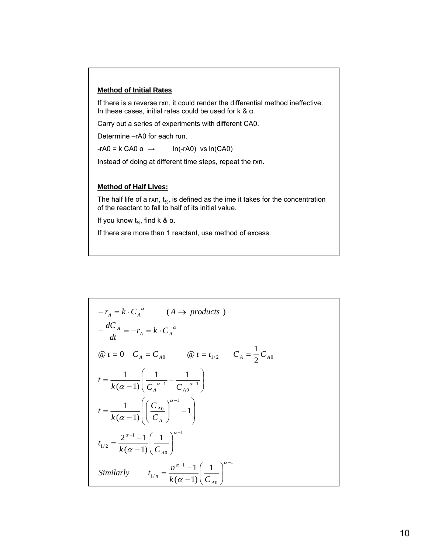#### **Method of Initial Rates**

If there is a reverse rxn, it could render the differential method ineffective. In these cases, initial rates could be used for k & α.

Carry out a series of experiments with different CA0.

Determine –rA0 for each run.

 $-rA0 = k CA0 \alpha \rightarrow \ln(-rA0) \text{ vs } ln(CA0)$ 

Instead of doing at different time steps, repeat the rxn.

## **Method of Half Lives: Method of Half Lives:**

The half life of a rxn,  $t_{1/2}$ , is defined as the ime it takes for the concentration of the reactant to fall to half of its initial value.

If you know  $t_{\frac{1}{2}}$ , find k & α.

If there are more than 1 reactant, use method of excess.

$$
-r_A = k \cdot C_A^{\alpha} \qquad (A \rightarrow products)
$$
  
\n
$$
-\frac{dC_A}{dt} = -r_A = k \cdot C_A^{\alpha}
$$
  
\n
$$
\textcircled{a} \ t = 0 \quad C_A = C_{A0} \qquad \textcircled{a} \ t = t_{1/2} \qquad C_A = \frac{1}{2} C_{A0}
$$
  
\n
$$
t = \frac{1}{k(\alpha - 1)} \left( \frac{1}{C_A^{\alpha - 1}} - \frac{1}{C_{A0}^{\alpha - 1}} \right)
$$
  
\n
$$
t = \frac{1}{k(\alpha - 1)} \left( \left( \frac{C_{A0}}{C_A} \right)^{\alpha - 1} - 1 \right)
$$
  
\n
$$
t_{1/2} = \frac{2^{\alpha - 1} - 1}{k(\alpha - 1)} \left( \frac{1}{C_{A0}} \right)^{\alpha - 1}
$$
  
\nSimilarly  $t_{1/n} = \frac{n^{\alpha - 1} - 1}{k(\alpha - 1)} \left( \frac{1}{C_{A0}} \right)^{\alpha - 1}$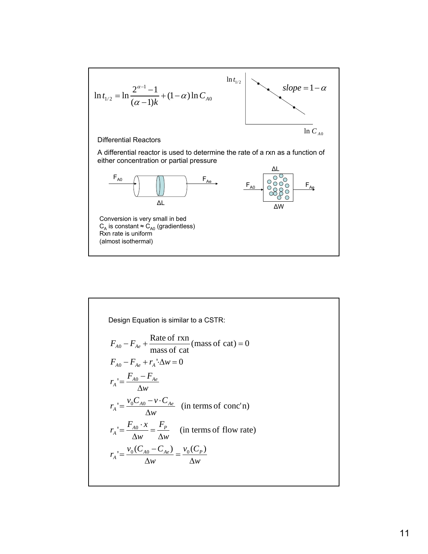

Design Equation is similar to a CSTR:  
\n
$$
F_{A0} - F_{Ae} + \frac{\text{Rate of rxn}}{\text{mass of cat}} (\text{mass of cat}) = 0
$$
\n
$$
F_{A0} - F_{Ae} + r_A' \Delta w = 0
$$
\n
$$
r_A' = \frac{F_{A0} - F_{Ae}}{\Delta w}
$$
\n
$$
r_A' = \frac{v_0 C_{A0} - v \cdot C_{Ae}}{\Delta w} \quad \text{(in terms of conc'n)}
$$
\n
$$
r_A' = \frac{F_{A0} \cdot x}{\Delta w} = \frac{F_P}{\Delta w} \quad \text{(in terms of flow rate)}
$$
\n
$$
r_A' = \frac{v_0 (C_{A0} - C_{Ae})}{\Delta w} = \frac{v_0 (C_P)}{\Delta w}
$$